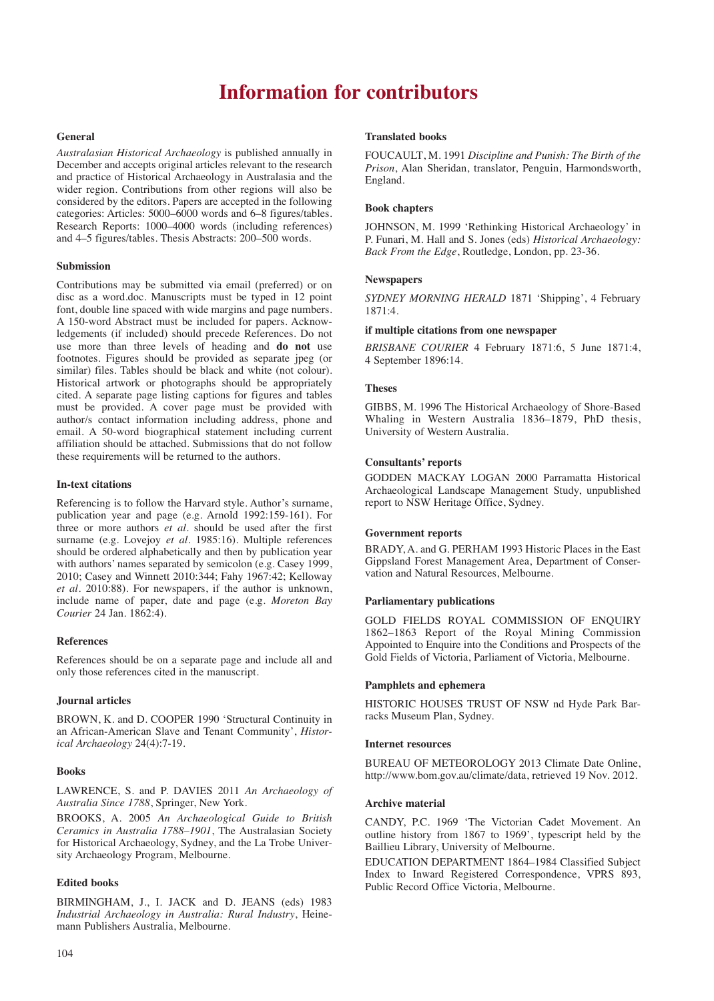# **Information for contributors**

## **General**

*Australasian Historical Archaeology* is published annually in December and accepts original articles relevant to the research and practice of Historical Archaeology in Australasia and the wider region. Contributions from other regions will also be considered by the editors. Papers are accepted in the following categories: Articles: 5000–6000 words and 6–8 figures/tables. Research Reports: 1000–4000 words (including references) and 4–5 figures/tables. Thesis Abstracts: 200–500 words.

## **Submission**

Contributions may be submitted via email (preferred) or on disc as a word.doc. Manuscripts must be typed in 12 point font, double line spaced with wide margins and page numbers. A 150-word Abstract must be included for papers. Acknowledgements (if included) should precede References. Do not use more than three levels of heading and **do not** use footnotes. Figures should be provided as separate jpeg (or similar) files. Tables should be black and white (not colour). Historical artwork or photographs should be appropriately cited. A separate page listing captions for figures and tables must be provided. A cover page must be provided with author/s contact information including address, phone and email. A 50-word biographical statement including current affiliation should be attached. Submissions that do not follow these requirements will be returned to the authors.

#### **In-text citations**

Referencing is to follow the Harvard style. Author's surname, publication year and page (e.g. Arnold 1992:159-161). For three or more authors *et al.* should be used after the first surname (e.g. Lovejoy *et al.* 1985:16). Multiple references should be ordered alphabetically and then by publication year with authors' names separated by semicolon (e.g. Casey 1999, 2010; Casey and Winnett 2010:344; Fahy 1967:42; Kelloway *et al.* 2010:88). For newspapers, if the author is unknown, include name of paper, date and page (e.g. *Moreton Bay Courier* 24 Jan. 1862:4).

## **References**

References should be on a separate page and include all and only those references cited in the manuscript.

## **Journal articles**

BROWN, K. and D. COOPER 1990 'Structural Continuity in an African-American Slave and Tenant Community', *Historical Archaeology* 24(4):7-19.

#### **Books**

LAWRENCE, S. and P. DAVIES 2011 *An Archaeology of Australia Since 1788*, Springer, New York.

BROOKS, A. 2005 *An Archaeological Guide to British Ceramics in Australia 1788–1901*, The Australasian Society for Historical Archaeology, Sydney, and the La Trobe University Archaeology Program, Melbourne.

## **Edited books**

BIRMINGHAM, J., I. JACK and D. JEANS (eds) 1983 *Industrial Archaeology in Australia: Rural Industry*, Heinemann Publishers Australia, Melbourne.

#### **Translated books**

FOUCAULT, M. 1991 *Discipline and Punish: The Birth of the Prison*, Alan Sheridan, translator, Penguin, Harmondsworth, England.

## **Book chapters**

JOHNSON, M. 1999 'Rethinking Historical Archaeology' in P. Funari, M. Hall and S. Jones (eds) *Historical Archaeology: Back From the Edge*, Routledge, London, pp. 23-36.

#### **Newspapers**

*SyDNEy MORNING HERALD* 1871 'Shipping', 4 February 1871:4.

## **if multiple citations from one newspaper**

*BRISBANE COURIER* 4 February 1871:6, 5 June 1871:4, 4 September 1896:14.

## **Theses**

GIBBS, M. 1996 The Historical Archaeology of Shore-Based Whaling in Western Australia 1836–1879, PhD thesis, University of Western Australia.

#### **Consultants' reports**

GODDEN MACKAY LOGAN 2000 Parramatta Historical Archaeological Landscape Management Study, unpublished report to NSW Heritage Office, Sydney.

## **Government reports**

BRADY, A. and G. PERHAM 1993 Historic Places in the East Gippsland Forest Management Area, Department of Conservation and Natural Resources, Melbourne.

#### **Parliamentary publications**

GOLD FIELDS ROYAL COMMISSION OF ENQUIRY 1862–1863 Report of the Royal Mining Commission Appointed to Enquire into the Conditions and Prospects of the Gold Fields of Victoria, Parliament of Victoria, Melbourne.

#### **Pamphlets and ephemera**

HISTORIC HOUSES TRUST OF NSW nd Hyde Park Barracks Museum Plan, Sydney.

## **Internet resources**

BUREAU OF METEOROLOGY 2013 Climate Date Online, http://www.bom.gov.au/climate/data, retrieved 19 Nov. 2012.

#### **Archive material**

CANDY, P.C. 1969 'The Victorian Cadet Movement. An outline history from 1867 to 1969', typescript held by the Baillieu Library, University of Melbourne.

EDUCATION DEPARTMENT 1864–1984 Classified Subject Index to Inward Registered Correspondence, VPRS 893, Public Record Office Victoria, Melbourne.